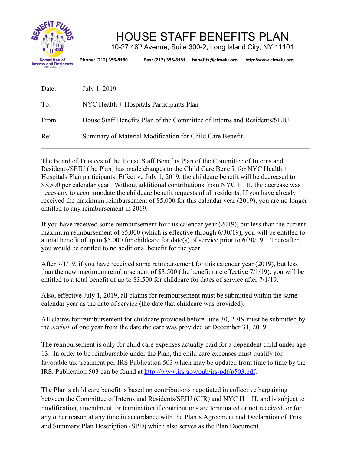

# HOUSE STAFF BENEFITS PLAN

10-27 46th Avenue, Suite 300-2, Long Island City, NY 11101

**Phone: (212) 356-8180 Fax: (212) 356-8181 benefits@cirseiu.org http://www.cirseiu.org**

| Date: | July 1, 2019                                                             |
|-------|--------------------------------------------------------------------------|
| To:   | NYC Health + Hospitals Participants Plan                                 |
| From: | House Staff Benefits Plan of the Committee of Interns and Residents/SEIU |
| Re:   | Summary of Material Modification for Child Care Benefit                  |

The Board of Trustees of the House Staff Benefits Plan of the Committee of Interns and Residents/SEIU (the Plan) has made changes to the Child Care Benefit for NYC Health + Hospitals Plan participants. Effective July 1, 2019, the childcare benefit will be decreased to \$3,500 per calendar year. Without additional contributions from NYC H+H, the decrease was necessary to accommodate the childcare benefit requests of all residents. If you have already received the maximum reimbursement of \$5,000 for this calendar year (2019), you are no longer entitled to any reimbursement in 2019.

If you have received some reimbursement for this calendar year (2019), but less than the current maximum reimbursement of \$5,000 (which is effective through 6/30/19), you will be entitled to a total benefit of up to \$5,000 for childcare for date(s) of service prior to 6/30/19. Thereafter, you would be entitled to no additional benefit for the year.

After 7/1/19, if you have received some reimbursement for this calendar year (2019), but less than the new maximum reimbursement of \$3,500 (the benefit rate effective 7/1/19), you will be entitled to a total benefit of up to \$3,500 for childcare for dates of service after 7/1/19.

Also, effective July 1, 2019, all claims for reimbursement must be submitted within the same calendar year as the date of service (the date that childcare was provided).

All claims for reimbursement for childcare provided before June 30, 2019 must be submitted by the *earlier* of one year from the date the care was provided or December 31, 2019.

The reimbursement is only for child care expenses actually paid for a dependent child under age 13. In order to be reimbursable under the Plan, the child care expenses must qualify for favorable tax treatment per IRS Publication 503 which may be updated from time to time by the IRS. Publication 503 can be found at http://www.irs.gov/pub/irs-pdf/p503.pdf.

The Plan's child care benefit is based on contributions negotiated in collective bargaining between the Committee of Interns and Residents/SEIU (CIR) and NYC H + H, and is subject to modification, amendment, or termination if contributions are terminated or not received, or for any other reason at any time in accordance with the Plan's Agreement and Declaration of Trust and Summary Plan Description (SPD) which also serves as the Plan Document.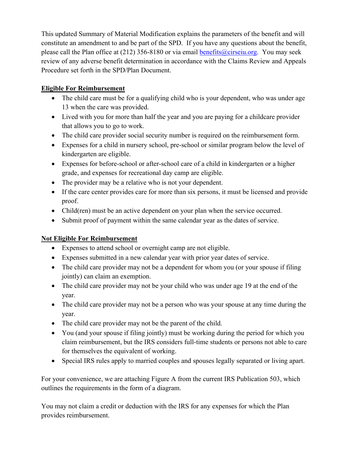This updated Summary of Material Modification explains the parameters of the benefit and will constitute an amendment to and be part of the SPD. If you have any questions about the benefit, please call the Plan office at (212) 356-8180 or via email benefits@cirseiu.org. You may seek review of any adverse benefit determination in accordance with the Claims Review and Appeals Procedure set forth in the SPD/Plan Document.

## **Eligible For Reimbursement**

- The child care must be for a qualifying child who is your dependent, who was under age 13 when the care was provided.
- Lived with you for more than half the year and you are paying for a childcare provider that allows you to go to work.
- The child care provider social security number is required on the reimbursement form.
- Expenses for a child in nursery school, pre-school or similar program below the level of kindergarten are eligible.
- Expenses for before-school or after-school care of a child in kindergarten or a higher grade, and expenses for recreational day camp are eligible.
- The provider may be a relative who is not your dependent.
- If the care center provides care for more than six persons, it must be licensed and provide proof.
- Child(ren) must be an active dependent on your plan when the service occurred.
- Submit proof of payment within the same calendar year as the dates of service.

### **Not Eligible For Reimbursement**

- Expenses to attend school or overnight camp are not eligible.
- Expenses submitted in a new calendar year with prior year dates of service.
- The child care provider may not be a dependent for whom you (or your spouse if filing jointly) can claim an exemption.
- The child care provider may not be your child who was under age 19 at the end of the year.
- The child care provider may not be a person who was your spouse at any time during the year.
- The child care provider may not be the parent of the child.
- You (and your spouse if filing jointly) must be working during the period for which you claim reimbursement, but the IRS considers full-time students or persons not able to care for themselves the equivalent of working.
- Special IRS rules apply to married couples and spouses legally separated or living apart.

For your convenience, we are attaching Figure A from the current IRS Publication 503, which outlines the requirements in the form of a diagram.

You may not claim a credit or deduction with the IRS for any expenses for which the Plan provides reimbursement.